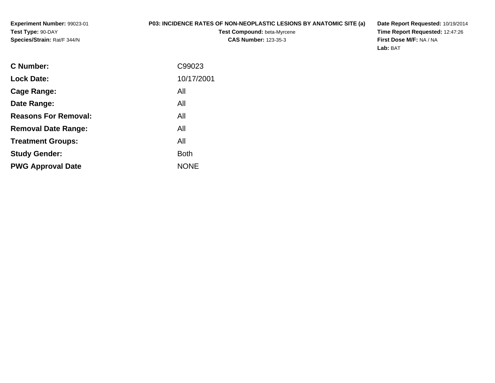**Experiment Number:** 99023-01**Test Type:** 90-DAY**Species/Strain:** Rat/F 344/N

## **P03: INCIDENCE RATES OF NON-NEOPLASTIC LESIONS BY ANATOMIC SITE (a)**

**Test Compound:** beta-Myrcene**CAS Number:** 123-35-3

**Date Report Requested:** 10/19/2014 **Time Report Requested:** 12:47:26**First Dose M/F:** NA / NA**Lab:** BAT

| <b>C</b> Number:            | C99023      |
|-----------------------------|-------------|
| <b>Lock Date:</b>           | 10/17/2001  |
| Cage Range:                 | All         |
| Date Range:                 | All         |
| <b>Reasons For Removal:</b> | All         |
| <b>Removal Date Range:</b>  | All         |
| <b>Treatment Groups:</b>    | All         |
| <b>Study Gender:</b>        | <b>Both</b> |
| <b>PWG Approval Date</b>    | <b>NONE</b> |
|                             |             |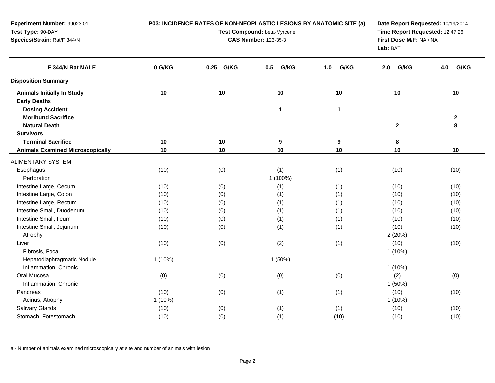| Experiment Number: 99023-01<br>Test Type: 90-DAY<br>Species/Strain: Rat/F 344/N |           | P03: INCIDENCE RATES OF NON-NEOPLASTIC LESIONS BY ANATOMIC SITE (a) | Test Compound: beta-Myrcene<br><b>CAS Number: 123-35-3</b> |              | Time Report Requested: 12:47:26<br>First Dose M/F: NA / NA<br>Lab: BAT | Date Report Requested: 10/19/2014 |  |  |
|---------------------------------------------------------------------------------|-----------|---------------------------------------------------------------------|------------------------------------------------------------|--------------|------------------------------------------------------------------------|-----------------------------------|--|--|
| F 344/N Rat MALE                                                                | 0 G/KG    | 0.25 G/KG                                                           | G/KG<br>0.5                                                | G/KG<br>1.0  | G/KG<br>2.0                                                            | G/KG<br>4.0                       |  |  |
| <b>Disposition Summary</b>                                                      |           |                                                                     |                                                            |              |                                                                        |                                   |  |  |
| <b>Animals Initially In Study</b><br><b>Early Deaths</b>                        | 10        | 10                                                                  | 10                                                         | 10           | 10                                                                     | 10                                |  |  |
| <b>Dosing Accident</b><br><b>Moribund Sacrifice</b><br><b>Natural Death</b>     |           |                                                                     | $\mathbf 1$                                                | $\mathbf{1}$ | $\mathbf 2$                                                            | $\mathbf{2}$<br>8                 |  |  |
| <b>Survivors</b>                                                                |           |                                                                     |                                                            |              |                                                                        |                                   |  |  |
| <b>Terminal Sacrifice</b>                                                       | 10        | 10                                                                  | $\boldsymbol{9}$                                           | 9            | 8                                                                      |                                   |  |  |
| <b>Animals Examined Microscopically</b>                                         | 10        | 10                                                                  | 10                                                         | 10           | 10                                                                     | 10                                |  |  |
| <b>ALIMENTARY SYSTEM</b>                                                        |           |                                                                     |                                                            |              |                                                                        |                                   |  |  |
| Esophagus                                                                       | (10)      | (0)                                                                 | (1)                                                        | (1)          | (10)                                                                   | (10)                              |  |  |
| Perforation                                                                     |           |                                                                     | 1 (100%)                                                   |              |                                                                        |                                   |  |  |
| Intestine Large, Cecum                                                          | (10)      | (0)                                                                 | (1)                                                        | (1)          | (10)                                                                   | (10)                              |  |  |
| Intestine Large, Colon                                                          | (10)      | (0)                                                                 | (1)                                                        | (1)          | (10)                                                                   | (10)                              |  |  |
| Intestine Large, Rectum                                                         | (10)      | (0)                                                                 | (1)                                                        | (1)          | (10)                                                                   | (10)                              |  |  |
| Intestine Small, Duodenum                                                       | (10)      | (0)                                                                 | (1)                                                        | (1)          | (10)                                                                   | (10)                              |  |  |
| Intestine Small, Ileum                                                          | (10)      | (0)                                                                 | (1)                                                        | (1)          | (10)                                                                   | (10)                              |  |  |
| Intestine Small, Jejunum                                                        | (10)      | (0)                                                                 | (1)                                                        | (1)          | (10)                                                                   | (10)                              |  |  |
| Atrophy                                                                         |           |                                                                     |                                                            |              | 2(20%)                                                                 |                                   |  |  |
| Liver                                                                           | (10)      | (0)                                                                 | (2)                                                        | (1)          | (10)                                                                   | (10)                              |  |  |
| Fibrosis, Focal                                                                 |           |                                                                     |                                                            |              | $1(10\%)$                                                              |                                   |  |  |
| Hepatodiaphragmatic Nodule                                                      | $1(10\%)$ |                                                                     | 1(50%)                                                     |              |                                                                        |                                   |  |  |
| Inflammation, Chronic                                                           |           |                                                                     |                                                            |              | $1(10\%)$                                                              |                                   |  |  |
| Oral Mucosa                                                                     | (0)       | (0)                                                                 | (0)                                                        | (0)          | (2)                                                                    | (0)                               |  |  |
| Inflammation, Chronic                                                           |           |                                                                     |                                                            |              | 1(50%)                                                                 |                                   |  |  |
| Pancreas                                                                        | (10)      | (0)                                                                 | (1)                                                        | (1)          | (10)                                                                   | (10)                              |  |  |
| Acinus, Atrophy                                                                 | $1(10\%)$ |                                                                     |                                                            |              | $1(10\%)$                                                              |                                   |  |  |
| <b>Salivary Glands</b>                                                          | (10)      | (0)                                                                 | (1)                                                        | (1)          | (10)                                                                   | (10)                              |  |  |
| Stomach, Forestomach                                                            | (10)      | (0)                                                                 | (1)                                                        | (10)         | (10)                                                                   | (10)                              |  |  |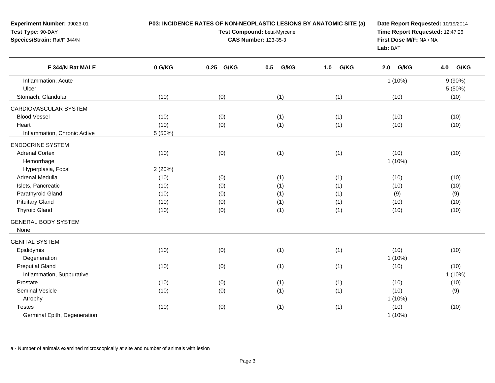| Experiment Number: 99023-01<br>Test Type: 90-DAY<br>Species/Strain: Rat/F 344/N | P03: INCIDENCE RATES OF NON-NEOPLASTIC LESIONS BY ANATOMIC SITE (a) | Date Report Requested: 10/19/2014<br>Time Report Requested: 12:47:26<br>First Dose M/F: NA / NA<br>Lab: BAT |             |             |             |             |
|---------------------------------------------------------------------------------|---------------------------------------------------------------------|-------------------------------------------------------------------------------------------------------------|-------------|-------------|-------------|-------------|
| F 344/N Rat MALE                                                                | 0 G/KG                                                              | 0.25 G/KG                                                                                                   | G/KG<br>0.5 | G/KG<br>1.0 | G/KG<br>2.0 | G/KG<br>4.0 |
| Inflammation, Acute                                                             |                                                                     |                                                                                                             |             |             | $1(10\%)$   | 9(90%)      |
| Ulcer                                                                           |                                                                     |                                                                                                             |             |             |             | 5(50%)      |
| Stomach, Glandular                                                              | (10)                                                                | (0)                                                                                                         | (1)         | (1)         | (10)        | (10)        |
| CARDIOVASCULAR SYSTEM                                                           |                                                                     |                                                                                                             |             |             |             |             |
| <b>Blood Vessel</b>                                                             | (10)                                                                | (0)                                                                                                         | (1)         | (1)         | (10)        | (10)        |
| Heart                                                                           | (10)                                                                | (0)                                                                                                         | (1)         | (1)         | (10)        | (10)        |
| Inflammation, Chronic Active                                                    | 5 (50%)                                                             |                                                                                                             |             |             |             |             |
| <b>ENDOCRINE SYSTEM</b>                                                         |                                                                     |                                                                                                             |             |             |             |             |
| <b>Adrenal Cortex</b>                                                           | (10)                                                                | (0)                                                                                                         | (1)         | (1)         | (10)        | (10)        |
| Hemorrhage                                                                      |                                                                     |                                                                                                             |             |             | $1(10\%)$   |             |
| Hyperplasia, Focal                                                              | 2(20%)                                                              |                                                                                                             |             |             |             |             |
| Adrenal Medulla                                                                 | (10)                                                                | (0)                                                                                                         | (1)         | (1)         | (10)        | (10)        |
| Islets, Pancreatic                                                              | (10)                                                                | (0)                                                                                                         | (1)         | (1)         | (10)        | (10)        |
| Parathyroid Gland                                                               | (10)                                                                | (0)                                                                                                         | (1)         | (1)         | (9)         | (9)         |
| <b>Pituitary Gland</b>                                                          | (10)                                                                | (0)                                                                                                         | (1)         | (1)         | (10)        | (10)        |
| <b>Thyroid Gland</b>                                                            | (10)                                                                | (0)                                                                                                         | (1)         | (1)         | (10)        | (10)        |
| <b>GENERAL BODY SYSTEM</b><br>None                                              |                                                                     |                                                                                                             |             |             |             |             |
| <b>GENITAL SYSTEM</b>                                                           |                                                                     |                                                                                                             |             |             |             |             |
| Epididymis                                                                      | (10)                                                                | (0)                                                                                                         | (1)         | (1)         | (10)        | (10)        |
| Degeneration                                                                    |                                                                     |                                                                                                             |             |             | $1(10\%)$   |             |
| <b>Preputial Gland</b>                                                          | (10)                                                                | (0)                                                                                                         | (1)         | (1)         | (10)        | (10)        |
| Inflammation, Suppurative                                                       |                                                                     |                                                                                                             |             |             |             | $1(10\%)$   |
| Prostate                                                                        | (10)                                                                | (0)                                                                                                         | (1)         | (1)         | (10)        | (10)        |
| Seminal Vesicle                                                                 | (10)                                                                | (0)                                                                                                         | (1)         | (1)         | (10)        | (9)         |
| Atrophy                                                                         |                                                                     |                                                                                                             |             |             | $1(10\%)$   |             |
| <b>Testes</b>                                                                   | (10)                                                                | (0)                                                                                                         | (1)         | (1)         | (10)        | (10)        |
| Germinal Epith, Degeneration                                                    |                                                                     |                                                                                                             |             |             | $1(10\%)$   |             |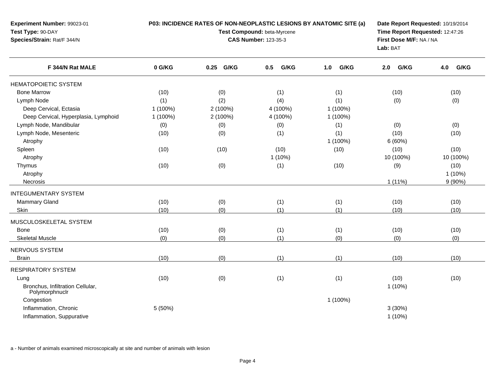**Experiment Number:** 99023-01**Test Type:** 90-DAY **Species/Strain:** Rat/F 344/N**P03: INCIDENCE RATES OF NON-NEOPLASTIC LESIONS BY ANATOMIC SITE (a)Test Compound:** beta-Myrcene**CAS Number:** 123-35-3**Date Report Requested:** 10/19/2014**Time Report Requested:** 12:47:26**First Dose M/F:** NA / NA**Lab:** BAT

| F 344/N Rat MALE                                   | 0 G/KG   | G/KG<br>0.25 | G/KG<br>0.5 | G/KG<br>1.0 | G/KG<br>2.0 | 4.0<br>G/KG |
|----------------------------------------------------|----------|--------------|-------------|-------------|-------------|-------------|
| <b>HEMATOPOIETIC SYSTEM</b>                        |          |              |             |             |             |             |
| <b>Bone Marrow</b>                                 | (10)     | (0)          | (1)         | (1)         | (10)        | (10)        |
| Lymph Node                                         | (1)      | (2)          | (4)         | (1)         | (0)         | (0)         |
| Deep Cervical, Ectasia                             | 1 (100%) | 2 (100%)     | 4 (100%)    | 1 (100%)    |             |             |
| Deep Cervical, Hyperplasia, Lymphoid               | 1 (100%) | 2 (100%)     | 4 (100%)    | 1 (100%)    |             |             |
| Lymph Node, Mandibular                             | (0)      | (0)          | (0)         | (1)         | (0)         | (0)         |
| Lymph Node, Mesenteric                             | (10)     | (0)          | (1)         | (1)         | (10)        | (10)        |
| Atrophy                                            |          |              |             | 1 (100%)    | 6(60%)      |             |
| Spleen                                             | (10)     | (10)         | (10)        | (10)        | (10)        | (10)        |
| Atrophy                                            |          |              | $1(10\%)$   |             | 10 (100%)   | 10 (100%)   |
| Thymus                                             | (10)     | (0)          | (1)         | (10)        | (9)         | (10)        |
| Atrophy                                            |          |              |             |             |             | $1(10\%)$   |
| Necrosis                                           |          |              |             |             | 1(11%)      | 9(90%)      |
| <b>INTEGUMENTARY SYSTEM</b>                        |          |              |             |             |             |             |
| <b>Mammary Gland</b>                               | (10)     | (0)          | (1)         | (1)         | (10)        | (10)        |
| Skin                                               | (10)     | (0)          | (1)         | (1)         | (10)        | (10)        |
| MUSCULOSKELETAL SYSTEM                             |          |              |             |             |             |             |
| <b>Bone</b>                                        | (10)     | (0)          | (1)         | (1)         | (10)        | (10)        |
| <b>Skeletal Muscle</b>                             | (0)      | (0)          | (1)         | (0)         | (0)         | (0)         |
| NERVOUS SYSTEM                                     |          |              |             |             |             |             |
| <b>Brain</b>                                       | (10)     | (0)          | (1)         | (1)         | (10)        | (10)        |
| <b>RESPIRATORY SYSTEM</b>                          |          |              |             |             |             |             |
| Lung                                               | (10)     | (0)          | (1)         | (1)         | (10)        | (10)        |
| Bronchus, Infiltration Cellular,<br>Polymorphnuclr |          |              |             |             | $1(10\%)$   |             |
| Congestion                                         |          |              |             | 1 (100%)    |             |             |
| Inflammation, Chronic                              | 5 (50%)  |              |             |             | 3(30%)      |             |
| Inflammation, Suppurative                          |          |              |             |             | $1(10\%)$   |             |
|                                                    |          |              |             |             |             |             |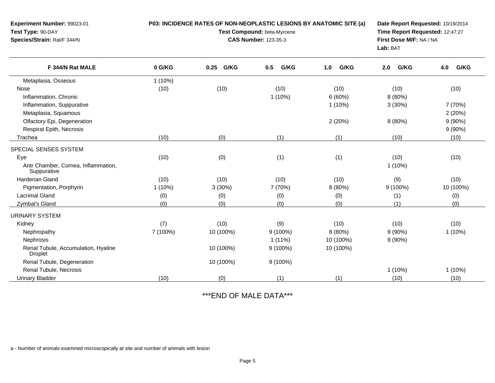| Experiment Number: 99023-01                           |           | P03: INCIDENCE RATES OF NON-NEOPLASTIC LESIONS BY ANATOMIC SITE (a)                                                                  |             | Date Report Requested: 10/19/2014 |             |             |
|-------------------------------------------------------|-----------|--------------------------------------------------------------------------------------------------------------------------------------|-------------|-----------------------------------|-------------|-------------|
| Test Type: 90-DAY<br>Species/Strain: Rat/F 344/N      |           | Test Compound: beta-Myrcene<br>Time Report Requested: 12:47:27<br>First Dose M/F: NA / NA<br><b>CAS Number: 123-35-3</b><br>Lab: BAT |             |                                   |             |             |
| F 344/N Rat MALE                                      | 0 G/KG    | 0.25<br>G/KG                                                                                                                         | G/KG<br>0.5 | 1.0<br>G/KG                       | G/KG<br>2.0 | G/KG<br>4.0 |
| Metaplasia, Osseous                                   | $1(10\%)$ |                                                                                                                                      |             |                                   |             |             |
| Nose                                                  | (10)      | (10)                                                                                                                                 | (10)        | (10)                              | (10)        | (10)        |
| Inflammation, Chronic                                 |           |                                                                                                                                      | $1(10\%)$   | 6(60%)                            | 8 (80%)     |             |
| Inflammation, Suppurative                             |           |                                                                                                                                      |             | $1(10\%)$                         | 3(30%)      | 7 (70%)     |
| Metaplasia, Squamous                                  |           |                                                                                                                                      |             |                                   |             | 2(20%)      |
| Olfactory Epi, Degeneration                           |           |                                                                                                                                      |             | 2(20%)                            | 8 (80%)     | $9(90\%)$   |
| Respirat Epith, Necrosis                              |           |                                                                                                                                      |             |                                   |             | $9(90\%)$   |
| Trachea                                               | (10)      | (0)                                                                                                                                  | (1)         | (1)                               | (10)        | (10)        |
| SPECIAL SENSES SYSTEM                                 |           |                                                                                                                                      |             |                                   |             |             |
| Eye                                                   | (10)      | (0)                                                                                                                                  | (1)         | (1)                               | (10)        | (10)        |
| Antr Chamber, Cornea, Inflammation,<br>Suppurative    |           |                                                                                                                                      |             |                                   | $1(10\%)$   |             |
| Harderian Gland                                       | (10)      | (10)                                                                                                                                 | (10)        | (10)                              | (9)         | (10)        |
| Pigmentation, Porphyrin                               | 1 (10%)   | 3(30%)                                                                                                                               | 7 (70%)     | 8 (80%)                           | $9(100\%)$  | 10 (100%)   |
| Lacrimal Gland                                        | (0)       | (0)                                                                                                                                  | (0)         | (0)                               | (1)         | (0)         |
| Zymbal's Gland                                        | (0)       | (0)                                                                                                                                  | (0)         | (0)                               | (1)         | (0)         |
| <b>URINARY SYSTEM</b>                                 |           |                                                                                                                                      |             |                                   |             |             |
| Kidney                                                | (7)       | (10)                                                                                                                                 | (9)         | (10)                              | (10)        | (10)        |
| Nephropathy                                           | 7 (100%)  | 10 (100%)                                                                                                                            | $9(100\%)$  | 8 (80%)                           | $9(90\%)$   | $1(10\%)$   |
| Nephrosis                                             |           |                                                                                                                                      | $1(11\%)$   | 10 (100%)                         | $9(90\%)$   |             |
| Renal Tubule, Accumulation, Hyaline<br><b>Droplet</b> |           | 10 (100%)                                                                                                                            | $9(100\%)$  | 10 (100%)                         |             |             |
| Renal Tubule, Degeneration                            |           | 10 (100%)                                                                                                                            | $9(100\%)$  |                                   |             |             |
| Renal Tubule, Necrosis                                |           |                                                                                                                                      |             |                                   | $1(10\%)$   | $1(10\%)$   |
| <b>Urinary Bladder</b>                                | (10)      | (0)                                                                                                                                  | (1)         | (1)                               | (10)        | (10)        |

\*\*\*END OF MALE DATA\*\*\*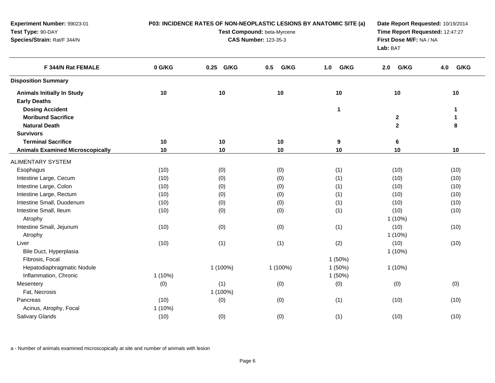| Experiment Number: 99023-01<br>Test Type: 90-DAY<br>Species/Strain: Rat/F 344/N |           | P03: INCIDENCE RATES OF NON-NEOPLASTIC LESIONS BY ANATOMIC SITE (a) | Test Compound: beta-Myrcene<br><b>CAS Number: 123-35-3</b> |              | First Dose M/F: NA / NA<br>Lab: BAT | Date Report Requested: 10/19/2014<br>Time Report Requested: 12:47:27 |  |  |  |
|---------------------------------------------------------------------------------|-----------|---------------------------------------------------------------------|------------------------------------------------------------|--------------|-------------------------------------|----------------------------------------------------------------------|--|--|--|
| F 344/N Rat FEMALE                                                              | 0 G/KG    | 0.25 G/KG                                                           | G/KG<br>0.5                                                | G/KG<br>1.0  | G/KG<br>2.0                         | G/KG<br>4.0                                                          |  |  |  |
| <b>Disposition Summary</b>                                                      |           |                                                                     |                                                            |              |                                     |                                                                      |  |  |  |
| <b>Animals Initially In Study</b><br><b>Early Deaths</b>                        | 10        | 10                                                                  | 10                                                         | 10           | $10$                                | 10                                                                   |  |  |  |
| <b>Dosing Accident</b><br><b>Moribund Sacrifice</b>                             |           |                                                                     |                                                            | $\mathbf{1}$ | $\mathbf 2$                         | $\mathbf 1$<br>$\mathbf 1$                                           |  |  |  |
| <b>Natural Death</b>                                                            |           |                                                                     |                                                            |              | $\overline{2}$                      | 8                                                                    |  |  |  |
| <b>Survivors</b>                                                                |           |                                                                     |                                                            |              |                                     |                                                                      |  |  |  |
| <b>Terminal Sacrifice</b><br><b>Animals Examined Microscopically</b>            | 10<br>10  | 10<br>10                                                            | 10<br>10                                                   | 9<br>10      | 6<br>10                             | 10                                                                   |  |  |  |
|                                                                                 |           |                                                                     |                                                            |              |                                     |                                                                      |  |  |  |
| <b>ALIMENTARY SYSTEM</b>                                                        |           |                                                                     |                                                            |              |                                     |                                                                      |  |  |  |
| Esophagus                                                                       | (10)      | (0)                                                                 | (0)                                                        | (1)          | (10)                                | (10)                                                                 |  |  |  |
| Intestine Large, Cecum                                                          | (10)      | (0)                                                                 | (0)                                                        | (1)          | (10)                                | (10)                                                                 |  |  |  |
| Intestine Large, Colon                                                          | (10)      | (0)                                                                 | (0)                                                        | (1)          | (10)                                | (10)                                                                 |  |  |  |
| Intestine Large, Rectum                                                         | (10)      | (0)                                                                 | (0)                                                        | (1)          | (10)                                | (10)                                                                 |  |  |  |
| Intestine Small, Duodenum                                                       | (10)      | (0)                                                                 | (0)                                                        | (1)          | (10)                                | (10)                                                                 |  |  |  |
| Intestine Small, Ileum<br>Atrophy                                               | (10)      | (0)                                                                 | (0)                                                        | (1)          | (10)<br>$1(10\%)$                   | (10)                                                                 |  |  |  |
| Intestine Small, Jejunum                                                        | (10)      | (0)                                                                 | (0)                                                        | (1)          | (10)                                | (10)                                                                 |  |  |  |
| Atrophy                                                                         |           |                                                                     |                                                            |              | $1(10\%)$                           |                                                                      |  |  |  |
| Liver                                                                           | (10)      | (1)                                                                 | (1)                                                        | (2)          | (10)                                | (10)                                                                 |  |  |  |
| Bile Duct, Hyperplasia                                                          |           |                                                                     |                                                            |              | $1(10\%)$                           |                                                                      |  |  |  |
| Fibrosis, Focal                                                                 |           |                                                                     |                                                            | 1(50%)       |                                     |                                                                      |  |  |  |
| Hepatodiaphragmatic Nodule                                                      |           | 1 (100%)                                                            | 1 (100%)                                                   | 1(50%)       | $1(10\%)$                           |                                                                      |  |  |  |
| Inflammation, Chronic                                                           | $1(10\%)$ |                                                                     |                                                            | 1(50%)       |                                     |                                                                      |  |  |  |
| Mesentery                                                                       | (0)       | (1)                                                                 | (0)                                                        | (0)          | (0)                                 | (0)                                                                  |  |  |  |
| Fat, Necrosis                                                                   |           | 1 (100%)                                                            |                                                            |              |                                     |                                                                      |  |  |  |
| Pancreas                                                                        | (10)      | (0)                                                                 | (0)                                                        | (1)          | (10)                                | (10)                                                                 |  |  |  |
| Acinus, Atrophy, Focal                                                          | $1(10\%)$ |                                                                     |                                                            |              |                                     |                                                                      |  |  |  |
| Salivary Glands                                                                 | (10)      | (0)                                                                 | (0)                                                        | (1)          | (10)                                | (10)                                                                 |  |  |  |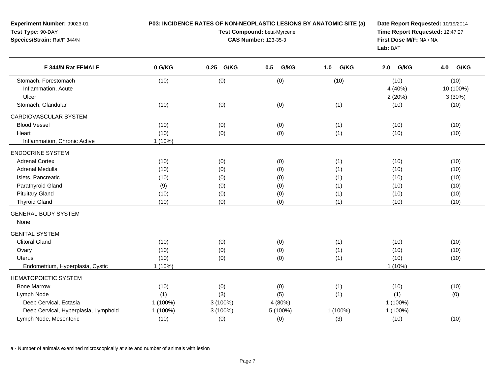| Experiment Number: 99023-01<br>Test Type: 90-DAY<br>Species/Strain: Rat/F 344/N                                                                                     |                                             | P03: INCIDENCE RATES OF NON-NEOPLASTIC LESIONS BY ANATOMIC SITE (a)<br>Date Report Requested: 10/19/2014<br>Test Compound: beta-Myrcene<br>Time Report Requested: 12:47:27<br><b>CAS Number: 123-35-3</b><br>First Dose M/F: NA / NA<br>Lab: BAT |                                        |                                        |                                              |                                              |
|---------------------------------------------------------------------------------------------------------------------------------------------------------------------|---------------------------------------------|--------------------------------------------------------------------------------------------------------------------------------------------------------------------------------------------------------------------------------------------------|----------------------------------------|----------------------------------------|----------------------------------------------|----------------------------------------------|
| F 344/N Rat FEMALE                                                                                                                                                  | 0 G/KG                                      | 0.25 G/KG                                                                                                                                                                                                                                        | G/KG<br>0.5                            | G/KG<br>1.0                            | G/KG<br>2.0                                  | G/KG<br>4.0                                  |
| Stomach, Forestomach<br>Inflammation, Acute<br>Ulcer                                                                                                                | (10)                                        | (0)                                                                                                                                                                                                                                              | (0)                                    | (10)                                   | (10)<br>4 (40%)<br>2(20%)                    | (10)<br>10 (100%)<br>3(30%)                  |
| Stomach, Glandular                                                                                                                                                  | (10)                                        | (0)                                                                                                                                                                                                                                              | (0)                                    | (1)                                    | (10)                                         | (10)                                         |
| CARDIOVASCULAR SYSTEM<br><b>Blood Vessel</b><br>Heart<br>Inflammation, Chronic Active                                                                               | (10)<br>(10)<br>$1(10\%)$                   | (0)<br>(0)                                                                                                                                                                                                                                       | (0)<br>(0)                             | (1)<br>(1)                             | (10)<br>(10)                                 | (10)<br>(10)                                 |
| <b>ENDOCRINE SYSTEM</b>                                                                                                                                             |                                             |                                                                                                                                                                                                                                                  |                                        |                                        |                                              |                                              |
| <b>Adrenal Cortex</b><br>Adrenal Medulla<br>Islets, Pancreatic<br>Parathyroid Gland<br><b>Pituitary Gland</b><br><b>Thyroid Gland</b><br><b>GENERAL BODY SYSTEM</b> | (10)<br>(10)<br>(10)<br>(9)<br>(10)<br>(10) | (0)<br>(0)<br>(0)<br>(0)<br>(0)<br>(0)                                                                                                                                                                                                           | (0)<br>(0)<br>(0)<br>(0)<br>(0)<br>(0) | (1)<br>(1)<br>(1)<br>(1)<br>(1)<br>(1) | (10)<br>(10)<br>(10)<br>(10)<br>(10)<br>(10) | (10)<br>(10)<br>(10)<br>(10)<br>(10)<br>(10) |
| None                                                                                                                                                                |                                             |                                                                                                                                                                                                                                                  |                                        |                                        |                                              |                                              |
| <b>GENITAL SYSTEM</b><br><b>Clitoral Gland</b><br>Ovary<br><b>Uterus</b><br>Endometrium, Hyperplasia, Cystic                                                        | (10)<br>(10)<br>(10)<br>$1(10\%)$           | (0)<br>(0)<br>(0)                                                                                                                                                                                                                                | (0)<br>(0)<br>(0)                      | (1)<br>(1)<br>(1)                      | (10)<br>(10)<br>(10)<br>$1(10\%)$            | (10)<br>(10)<br>(10)                         |
| <b>HEMATOPOIETIC SYSTEM</b>                                                                                                                                         |                                             |                                                                                                                                                                                                                                                  |                                        |                                        |                                              |                                              |
| <b>Bone Marrow</b><br>Lymph Node<br>Deep Cervical, Ectasia<br>Deep Cervical, Hyperplasia, Lymphoid                                                                  | (10)<br>(1)<br>1 (100%)<br>1 (100%)         | (0)<br>(3)<br>3 (100%)<br>3 (100%)                                                                                                                                                                                                               | (0)<br>(5)<br>4 (80%)<br>5 (100%)      | (1)<br>(1)<br>1 (100%)                 | (10)<br>(1)<br>1 (100%)<br>1 (100%)          | (10)<br>(0)                                  |
| Lymph Node, Mesenteric                                                                                                                                              | (10)                                        | (0)                                                                                                                                                                                                                                              | (0)                                    | (3)                                    | (10)                                         | (10)                                         |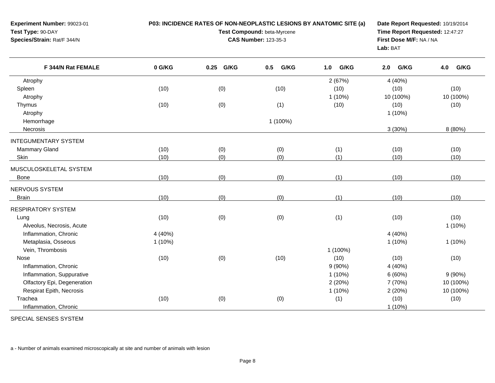| Experiment Number: 99023-01<br>Test Type: 90-DAY<br>Species/Strain: Rat/F 344/N | P03: INCIDENCE RATES OF NON-NEOPLASTIC LESIONS BY ANATOMIC SITE (a) | Date Report Requested: 10/19/2014<br>Time Report Requested: 12:47:27<br>First Dose M/F: NA / NA<br>Lab: BAT |             |             |             |             |
|---------------------------------------------------------------------------------|---------------------------------------------------------------------|-------------------------------------------------------------------------------------------------------------|-------------|-------------|-------------|-------------|
| F 344/N Rat FEMALE                                                              | 0 G/KG                                                              | 0.25 G/KG                                                                                                   | G/KG<br>0.5 | G/KG<br>1.0 | G/KG<br>2.0 | G/KG<br>4.0 |
| Atrophy                                                                         |                                                                     |                                                                                                             |             | 2(67%)      | 4 (40%)     |             |
| Spleen                                                                          | (10)                                                                | (0)                                                                                                         | (10)        | (10)        | (10)        | (10)        |
| Atrophy                                                                         |                                                                     |                                                                                                             |             | $1(10\%)$   | 10 (100%)   | 10 (100%)   |
| Thymus                                                                          | (10)                                                                | (0)                                                                                                         | (1)         | (10)        | (10)        | (10)        |
| Atrophy                                                                         |                                                                     |                                                                                                             |             |             | 1 (10%)     |             |
| Hemorrhage                                                                      |                                                                     |                                                                                                             | 1 (100%)    |             |             |             |
| Necrosis                                                                        |                                                                     |                                                                                                             |             |             | 3(30%)      | 8 (80%)     |
| <b>INTEGUMENTARY SYSTEM</b>                                                     |                                                                     |                                                                                                             |             |             |             |             |
| Mammary Gland                                                                   | (10)                                                                | (0)                                                                                                         | (0)         | (1)         | (10)        | (10)        |
| Skin                                                                            | (10)                                                                | (0)                                                                                                         | (0)         | (1)         | (10)        | (10)        |
| MUSCULOSKELETAL SYSTEM                                                          |                                                                     |                                                                                                             |             |             |             |             |
| Bone                                                                            | (10)                                                                | (0)                                                                                                         | (0)         | (1)         | (10)        | (10)        |
| NERVOUS SYSTEM                                                                  |                                                                     |                                                                                                             |             |             |             |             |
| <b>Brain</b>                                                                    | (10)                                                                | (0)                                                                                                         | (0)         | (1)         | (10)        | (10)        |
| <b>RESPIRATORY SYSTEM</b>                                                       |                                                                     |                                                                                                             |             |             |             |             |
| Lung                                                                            | (10)                                                                | (0)                                                                                                         | (0)         | (1)         | (10)        | (10)        |
| Alveolus, Necrosis, Acute                                                       |                                                                     |                                                                                                             |             |             |             | $1(10\%)$   |
| Inflammation, Chronic                                                           | 4 (40%)                                                             |                                                                                                             |             |             | 4 (40%)     |             |
| Metaplasia, Osseous                                                             | $1(10\%)$                                                           |                                                                                                             |             |             | $1(10\%)$   | $1(10\%)$   |
| Vein, Thrombosis                                                                |                                                                     |                                                                                                             |             | 1 (100%)    |             |             |
| Nose                                                                            | (10)                                                                | (0)                                                                                                         | (10)        | (10)        | (10)        | (10)        |
| Inflammation, Chronic                                                           |                                                                     |                                                                                                             |             | 9(90%)      | 4 (40%)     |             |
| Inflammation, Suppurative                                                       |                                                                     |                                                                                                             |             | $1(10\%)$   | 6(60%)      | $9(90\%)$   |
| Olfactory Epi, Degeneration                                                     |                                                                     |                                                                                                             |             | 2(20%)      | 7 (70%)     | 10 (100%)   |
| Respirat Epith, Necrosis                                                        |                                                                     |                                                                                                             |             | $1(10\%)$   | 2(20%)      | 10 (100%)   |
| Trachea                                                                         | (10)                                                                | (0)                                                                                                         | (0)         | (1)         | (10)        | (10)        |
| Inflammation, Chronic                                                           |                                                                     |                                                                                                             |             |             | 1(10%)      |             |

SPECIAL SENSES SYSTEM